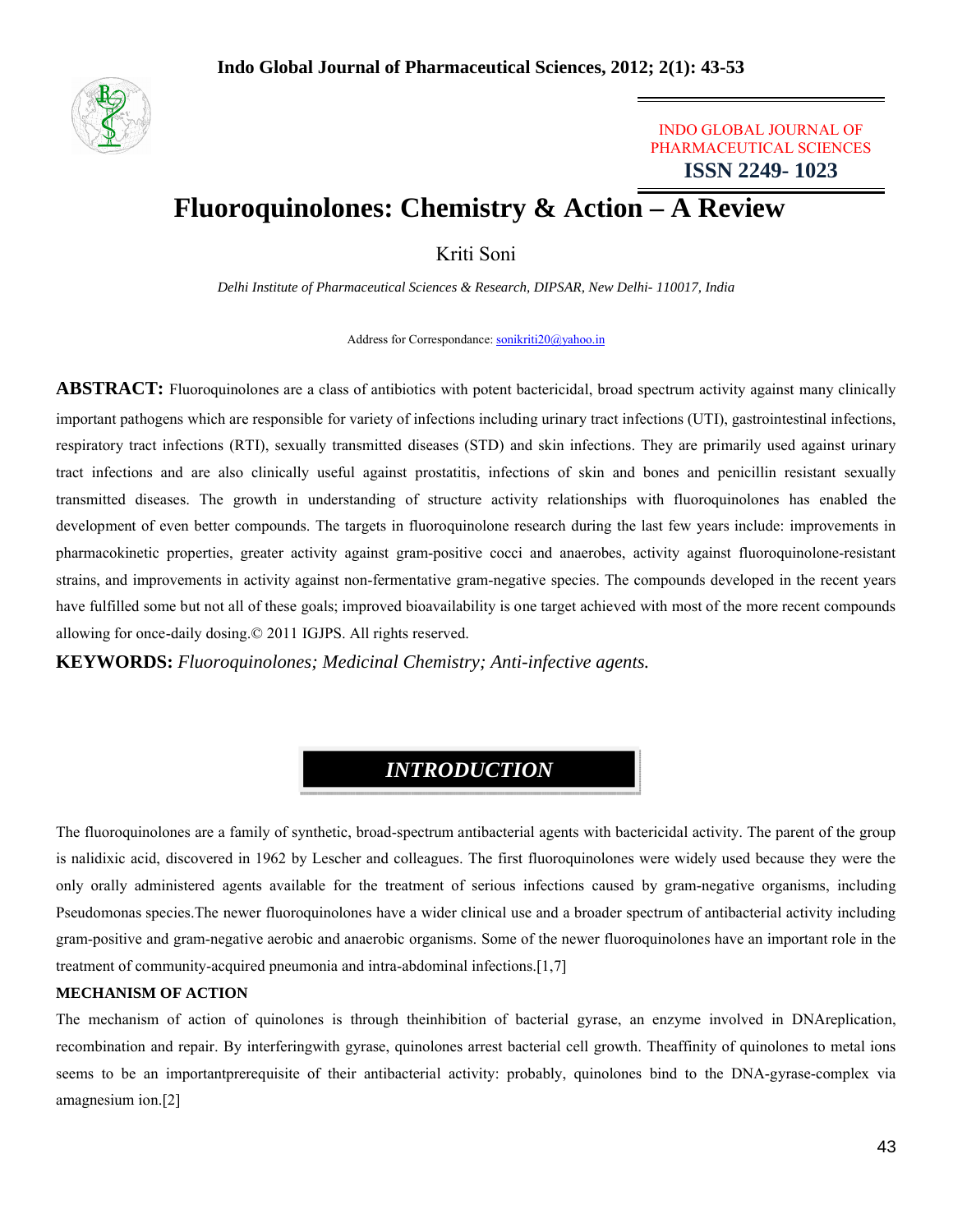

### INDO GLOBAL JOURNAL OF PHARMACEUTICAL SCIENCES **ISSN 2249- 1023**

# **Fluoroquinolones: Chemistry & Action – A Review**

Kriti Soni

*Delhi Institute of Pharmaceutical Sciences & Research, DIPSAR, New Delhi- 110017, India*

Address for Correspondance: sonikriti20@yahoo.in

**ABSTRACT:** Fluoroquinolones are a class of antibiotics with potent bactericidal, broad spectrum activity against many clinically important pathogens which are responsible for variety of infections including urinary tract infections (UTI), gastrointestinal infections, respiratory tract infections (RTI), sexually transmitted diseases (STD) and skin infections. They are primarily used against urinary tract infections and are also clinically useful against prostatitis, infections of skin and bones and penicillin resistant sexually transmitted diseases. The growth in understanding of structure activity relationships with fluoroquinolones has enabled the development of even better compounds. The targets in fluoroquinolone research during the last few years include: improvements in pharmacokinetic properties, greater activity against gram-positive cocci and anaerobes, activity against fluoroquinolone-resistant strains, and improvements in activity against non-fermentative gram-negative species. The compounds developed in the recent years have fulfilled some but not all of these goals; improved bioavailability is one target achieved with most of the more recent compounds allowing for once-daily dosing.© 2011 IGJPS. All rights reserved.

**KEYWORDS:** *Fluoroquinolones; Medicinal Chemistry; Anti-infective agents.*

# *INTRODUCTION*

The fluoroquinolones are a family of synthetic, broad-spectrum antibacterial agents with bactericidal activity. The parent of the group is nalidixic acid, discovered in 1962 by Lescher and colleagues. The first fluoroquinolones were widely used because they were the only orally administered agents available for the treatment of serious infections caused by gram-negative organisms, including Pseudomonas species.The newer fluoroquinolones have a wider clinical use and a broader spectrum of antibacterial activity including gram-positive and gram-negative aerobic and anaerobic organisms. Some of the newer fluoroquinolones have an important role in the treatment of community-acquired pneumonia and intra-abdominal infections.[1,7]

#### **MECHANISM OF ACTION**

The mechanism of action of quinolones is through theinhibition of bacterial gyrase, an enzyme involved in DNAreplication, recombination and repair. By interferingwith gyrase, quinolones arrest bacterial cell growth. Theaffinity of quinolones to metal ions seems to be an importantprerequisite of their antibacterial activity: probably, quinolones bind to the DNA-gyrase-complex via amagnesium ion.[2]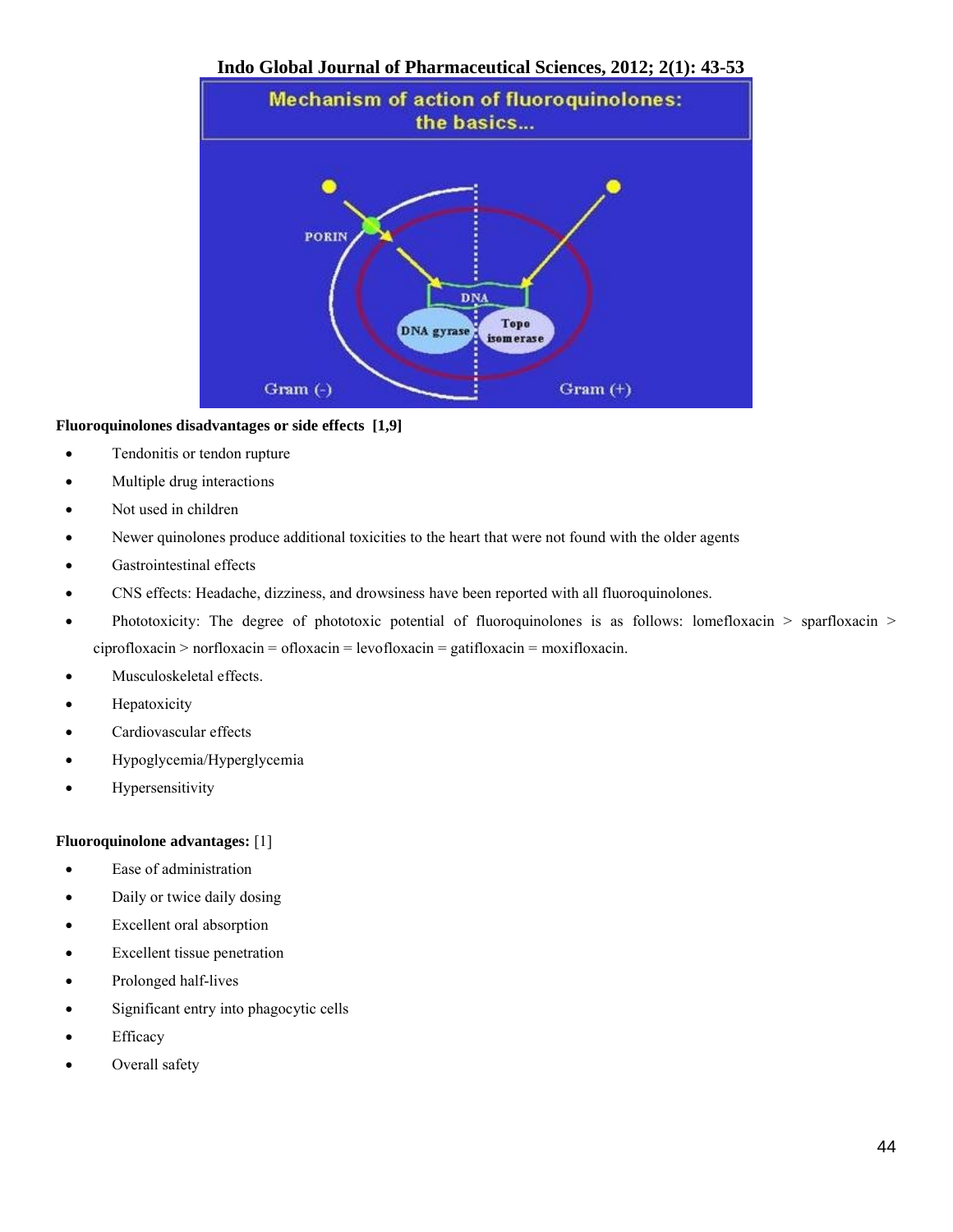

#### **Fluoroquinolones disadvantages or side effects [1,9]**

- Tendonitis or tendon rupture
- Multiple drug interactions
- Not used in children
- Newer quinolones produce additional toxicities to the heart that were not found with the older agents
- Gastrointestinal effects
- CNS effects: Headache, dizziness, and drowsiness have been reported with all fluoroquinolones.
- Phototoxicity: The degree of phototoxic potential of fluoroquinolones is as follows: lomefloxacin > sparfloxacin > ciprofloxacin > norfloxacin = ofloxacin = levofloxacin = gatifloxacin = moxifloxacin.
- Musculoskeletal effects.
- Hepatoxicity
- Cardiovascular effects
- Hypoglycemia/Hyperglycemia
- Hypersensitivity

#### **Fluoroquinolone advantages:** [1]

- Ease of administration
- Daily or twice daily dosing
- Excellent oral absorption
- Excellent tissue penetration
- Prolonged half-lives
- Significant entry into phagocytic cells
- Efficacy
- Overall safety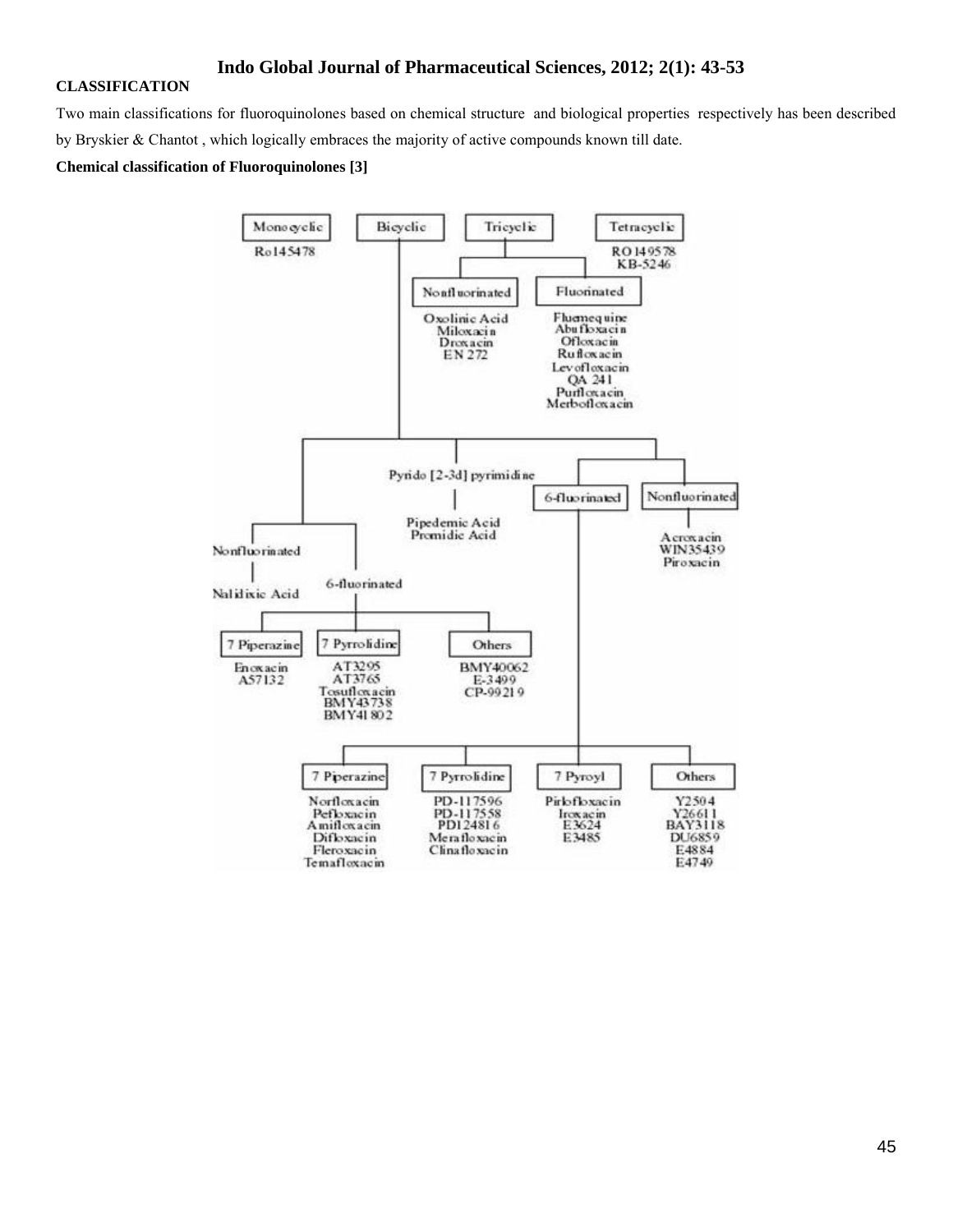#### **CLASSIFICATION**

Two main classifications for fluoroquinolones based on chemical structure and biological properties respectively has been described by Bryskier & Chantot , which logically embraces the majority of active compounds known till date.

#### **Chemical classification of Fluoroquinolones [3]**

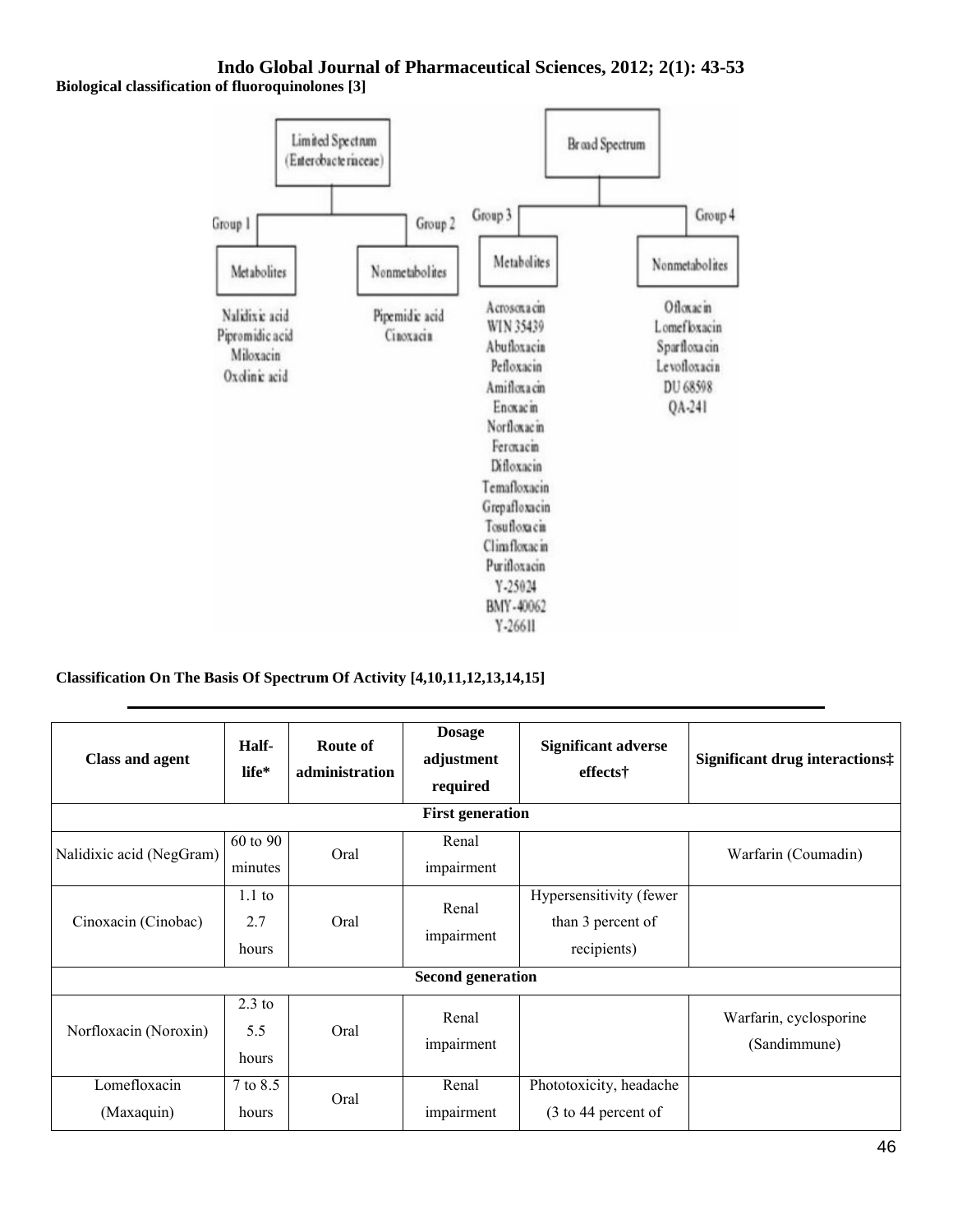**Biological classification of fluoroquinolones [3]**



### **Classification On The Basis Of Spectrum Of Activity [4,10,11,12,13,14,15]**

| <b>Class and agent</b>     | Half-<br>life*           | Route of<br>administration | <b>Dosage</b><br>adjustment<br>required | <b>Significant adverse</b><br>effects†                      | Significant drug interactions:         |  |  |  |
|----------------------------|--------------------------|----------------------------|-----------------------------------------|-------------------------------------------------------------|----------------------------------------|--|--|--|
| <b>First generation</b>    |                          |                            |                                         |                                                             |                                        |  |  |  |
| Nalidixic acid (NegGram)   | 60 to 90<br>minutes      | Oral                       | Renal<br>impairment                     |                                                             | Warfarin (Coumadin)                    |  |  |  |
| Cinoxacin (Cinobac)        | $1.1$ to<br>2.7<br>hours | Oral                       | Renal<br>impairment                     | Hypersensitivity (fewer<br>than 3 percent of<br>recipients) |                                        |  |  |  |
| <b>Second generation</b>   |                          |                            |                                         |                                                             |                                        |  |  |  |
| Norfloxacin (Noroxin)      | $2.3$ to<br>5.5<br>hours | Oral                       | Renal<br>impairment                     |                                                             | Warfarin, cyclosporine<br>(Sandimmune) |  |  |  |
| Lomefloxacin<br>(Maxaquin) | 7 to 8.5<br>hours        | Oral                       | Renal<br>impairment                     | Phototoxicity, headache<br>(3 to 44 percent of              |                                        |  |  |  |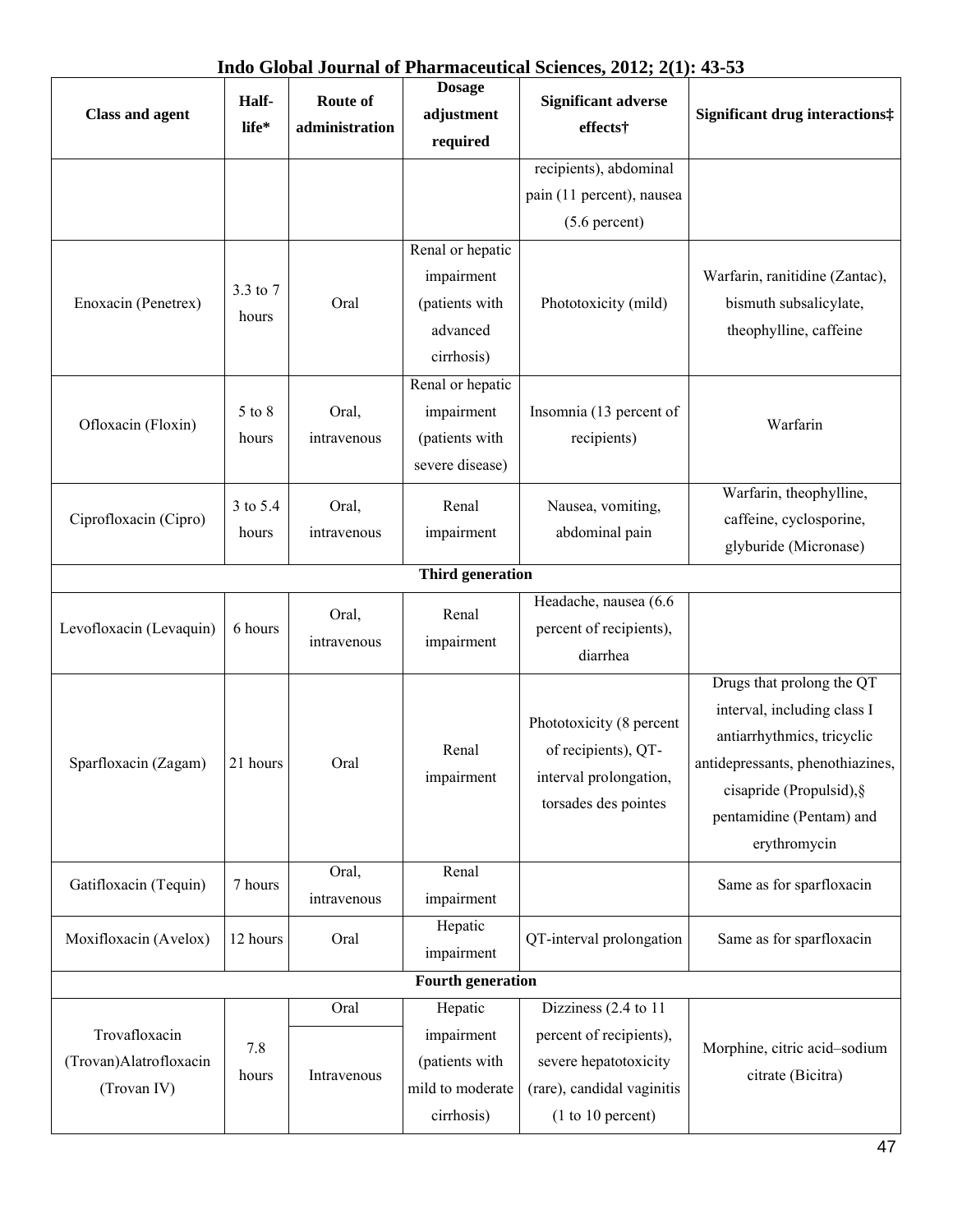| <b>Class and agent</b>                                 | Half-<br>life*    | Route of<br>administration | <b>Dosage</b><br>adjustment<br>required                                    | <b>Significant adverse</b><br>effects†                                                                 | <b>Significant drug interactions:</b>                                                                                                                                                              |
|--------------------------------------------------------|-------------------|----------------------------|----------------------------------------------------------------------------|--------------------------------------------------------------------------------------------------------|----------------------------------------------------------------------------------------------------------------------------------------------------------------------------------------------------|
|                                                        |                   |                            |                                                                            | recipients), abdominal<br>pain (11 percent), nausea<br>$(5.6$ percent)                                 |                                                                                                                                                                                                    |
| Enoxacin (Penetrex)                                    | 3.3 to 7<br>hours | Oral                       | Renal or hepatic<br>impairment<br>(patients with<br>advanced<br>cirrhosis) | Phototoxicity (mild)                                                                                   | Warfarin, ranitidine (Zantac),<br>bismuth subsalicylate,<br>theophylline, caffeine                                                                                                                 |
| Ofloxacin (Floxin)                                     | 5 to 8<br>hours   | Oral,<br>intravenous       | Renal or hepatic<br>impairment<br>(patients with<br>severe disease)        | Insomnia (13 percent of<br>recipients)                                                                 | Warfarin                                                                                                                                                                                           |
| Ciprofloxacin (Cipro)                                  | 3 to 5.4<br>hours | Oral,<br>intravenous       | Renal<br>impairment                                                        | Nausea, vomiting,<br>abdominal pain                                                                    | Warfarin, theophylline,<br>caffeine, cyclosporine,<br>glyburide (Micronase)                                                                                                                        |
|                                                        |                   |                            | <b>Third generation</b>                                                    |                                                                                                        |                                                                                                                                                                                                    |
| Levofloxacin (Levaquin)                                | 6 hours           | Oral,<br>intravenous       | Renal<br>impairment                                                        | Headache, nausea (6.6<br>percent of recipients),<br>diarrhea                                           |                                                                                                                                                                                                    |
| Sparfloxacin (Zagam)                                   | 21 hours          | Oral                       | Renal<br>impairment                                                        | Phototoxicity (8 percent<br>of recipients), QT-<br>interval prolongation,<br>torsades des pointes      | Drugs that prolong the QT<br>interval, including class I<br>antiarrhythmics, tricyclic<br>antidepressants, phenothiazines,<br>cisapride (Propulsid), §<br>pentamidine (Pentam) and<br>erythromycin |
| Gatifloxacin (Tequin)                                  | 7 hours           | Oral,<br>intravenous       | Renal<br>impairment                                                        |                                                                                                        | Same as for sparfloxacin                                                                                                                                                                           |
| Moxifloxacin (Avelox)                                  | 12 hours          | Oral                       | Hepatic<br>impairment                                                      | QT-interval prolongation                                                                               | Same as for sparfloxacin                                                                                                                                                                           |
|                                                        |                   |                            | <b>Fourth generation</b>                                                   |                                                                                                        |                                                                                                                                                                                                    |
| Trovafloxacin<br>(Trovan)Alatrofloxacin<br>(Trovan IV) | 7.8<br>hours      | Oral<br>Intravenous        | Hepatic<br>impairment<br>(patients with<br>mild to moderate                | Dizziness (2.4 to 11<br>percent of recipients),<br>severe hepatotoxicity<br>(rare), candidal vaginitis | Morphine, citric acid-sodium<br>citrate (Bicitra)                                                                                                                                                  |
|                                                        |                   |                            | cirrhosis)                                                                 | (1 to 10 percent)                                                                                      |                                                                                                                                                                                                    |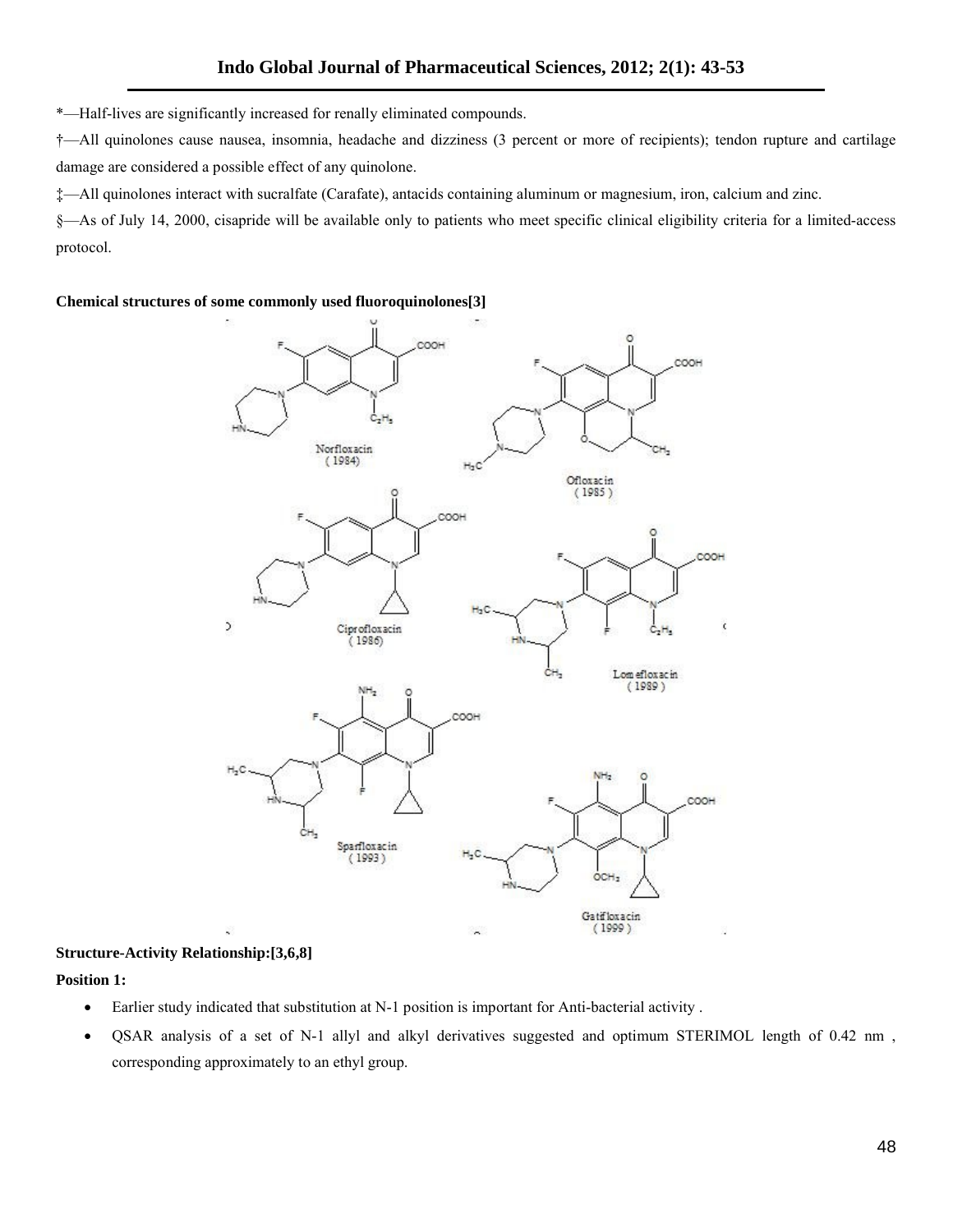\*—Half-lives are significantly increased for renally eliminated compounds.

†—All quinolones cause nausea, insomnia, headache and dizziness (3 percent or more of recipients); tendon rupture and cartilage damage are considered a possible effect of any quinolone.

‡—All quinolones interact with sucralfate (Carafate), antacids containing aluminum or magnesium, iron, calcium and zinc.

§—As of July 14, 2000, cisapride will be available only to patients who meet specific clinical eligibility criteria for a limited-access protocol.

#### **Chemical structures of some commonly used fluoroquinolones[3]**



#### **Structure-Activity Relationship:[3,6,8]**

#### **Position 1:**

- Earlier study indicated that substitution at N-1 position is important for Anti-bacterial activity .
- QSAR analysis of a set of N-1 allyl and alkyl derivatives suggested and optimum STERIMOL length of 0.42 nm , corresponding approximately to an ethyl group.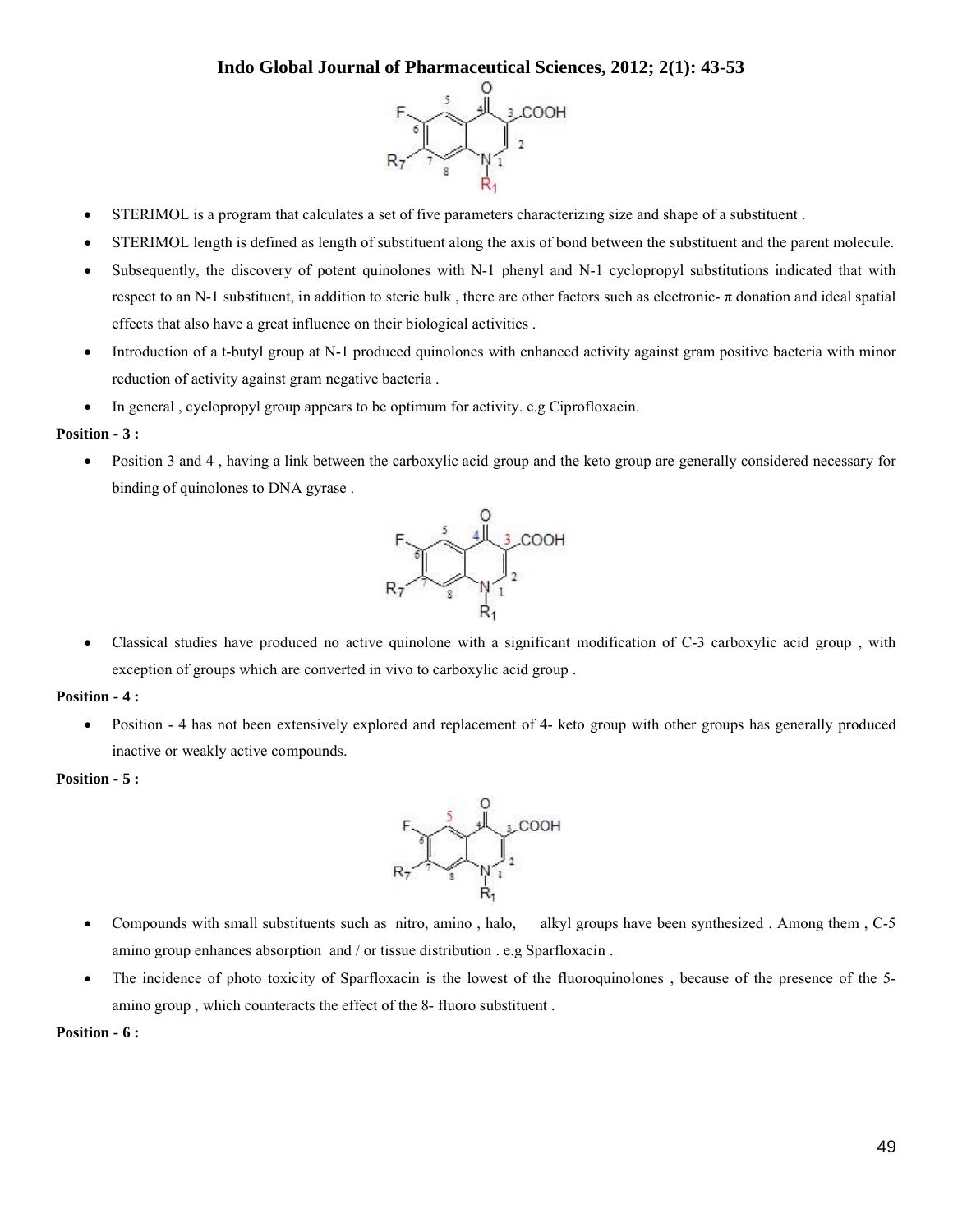

- STERIMOL is a program that calculates a set of five parameters characterizing size and shape of a substituent .
- STERIMOL length is defined as length of substituent along the axis of bond between the substituent and the parent molecule.
- Subsequently, the discovery of potent quinolones with N-1 phenyl and N-1 cyclopropyl substitutions indicated that with respect to an N-1 substituent, in addition to steric bulk, there are other factors such as electronic- $\pi$  donation and ideal spatial effects that also have a great influence on their biological activities .
- Introduction of a t-butyl group at N-1 produced quinolones with enhanced activity against gram positive bacteria with minor reduction of activity against gram negative bacteria .
- In general , cyclopropyl group appears to be optimum for activity. e.g Ciprofloxacin.

#### **Position - 3 :**

 Position 3 and 4 , having a link between the carboxylic acid group and the keto group are generally considered necessary for binding of quinolones to DNA gyrase .



 Classical studies have produced no active quinolone with a significant modification of C-3 carboxylic acid group , with exception of groups which are converted in vivo to carboxylic acid group .

#### **Position - 4 :**

 Position - 4 has not been extensively explored and replacement of 4- keto group with other groups has generally produced inactive or weakly active compounds.

#### **Position - 5 :**



- Compounds with small substituents such as nitro, amino , halo, alkyl groups have been synthesized . Among them , C-5 amino group enhances absorption and / or tissue distribution . e.g Sparfloxacin .
- The incidence of photo toxicity of Sparfloxacin is the lowest of the fluoroquinolones, because of the presence of the 5amino group , which counteracts the effect of the 8- fluoro substituent .

#### **Position - 6 :**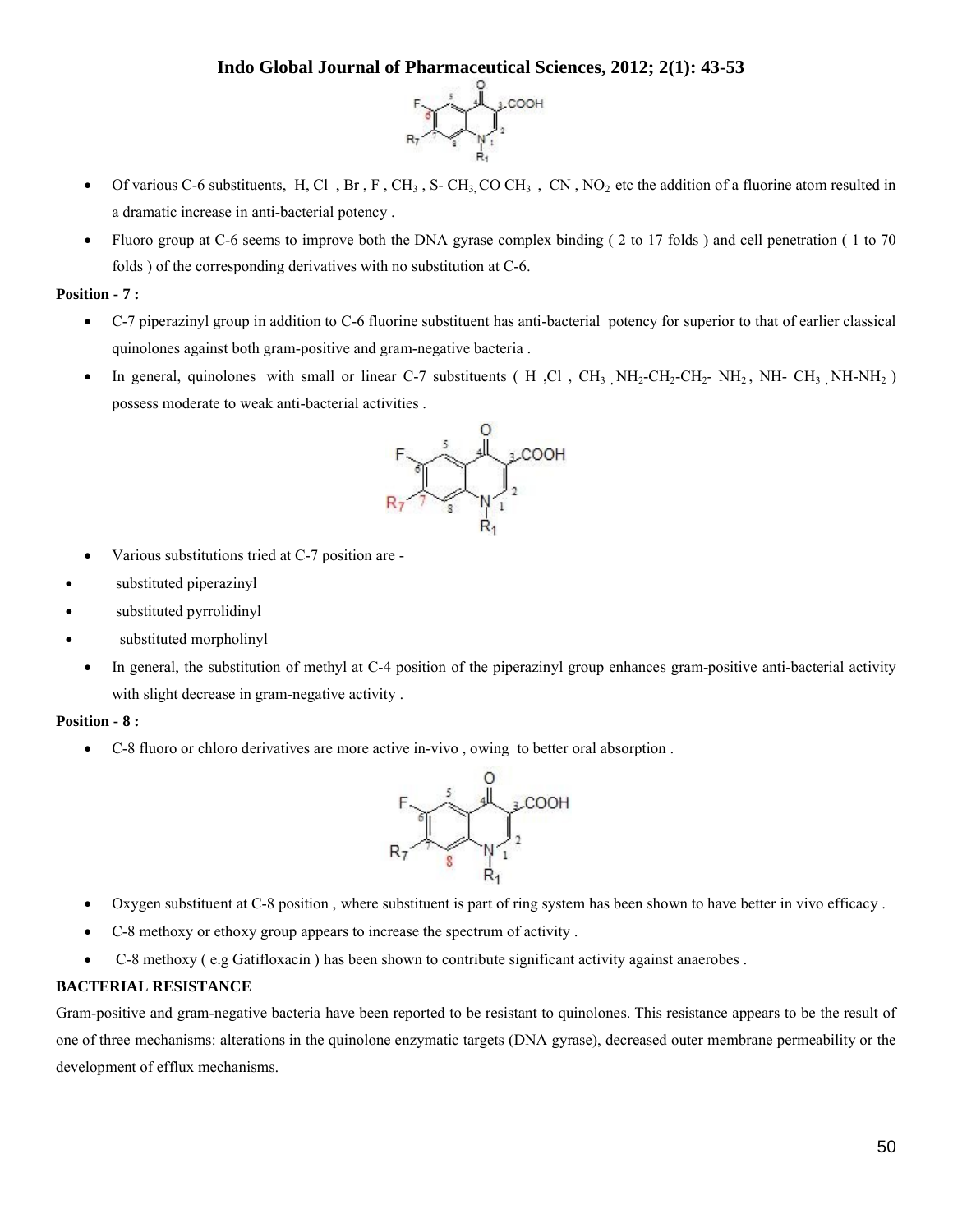

- Of various C-6 substituents, H, Cl, Br, F, CH<sub>3</sub>, S- CH<sub>3</sub>, CO CH<sub>3</sub>, CN, NO<sub>2</sub> etc the addition of a fluorine atom resulted in a dramatic increase in anti-bacterial potency .
- Fluoro group at C-6 seems to improve both the DNA gyrase complex binding ( 2 to 17 folds ) and cell penetration ( 1 to 70 folds ) of the corresponding derivatives with no substitution at C-6.

#### **Position - 7 :**

- C-7 piperazinyl group in addition to C-6 fluorine substituent has anti-bacterial potency for superior to that of earlier classical quinolones against both gram-positive and gram-negative bacteria .
- In general, quinolones with small or linear C-7 substituents ( H , Cl , CH<sub>3</sub> NH<sub>2</sub>-CH<sub>2</sub>- CH<sub>2</sub>- NH<sub>2</sub>, NH- CH<sub>3</sub> NH-NH<sub>2</sub>) possess moderate to weak anti-bacterial activities .



- Various substitutions tried at C-7 position are -
- substituted piperazinyl
- substituted pyrrolidinyl
- substituted morpholinyl
	- In general, the substitution of methyl at C-4 position of the piperazinyl group enhances gram-positive anti-bacterial activity with slight decrease in gram-negative activity .

#### **Position - 8 :**

C-8 fluoro or chloro derivatives are more active in-vivo , owing to better oral absorption .



- Oxygen substituent at C-8 position , where substituent is part of ring system has been shown to have better in vivo efficacy .
- C-8 methoxy or ethoxy group appears to increase the spectrum of activity .
- C-8 methoxy ( e.g Gatifloxacin ) has been shown to contribute significant activity against anaerobes .

#### **BACTERIAL RESISTANCE**

Gram-positive and gram-negative bacteria have been reported to be resistant to quinolones. This resistance appears to be the result of one of three mechanisms: alterations in the quinolone enzymatic targets (DNA gyrase), decreased outer membrane permeability or the development of efflux mechanisms.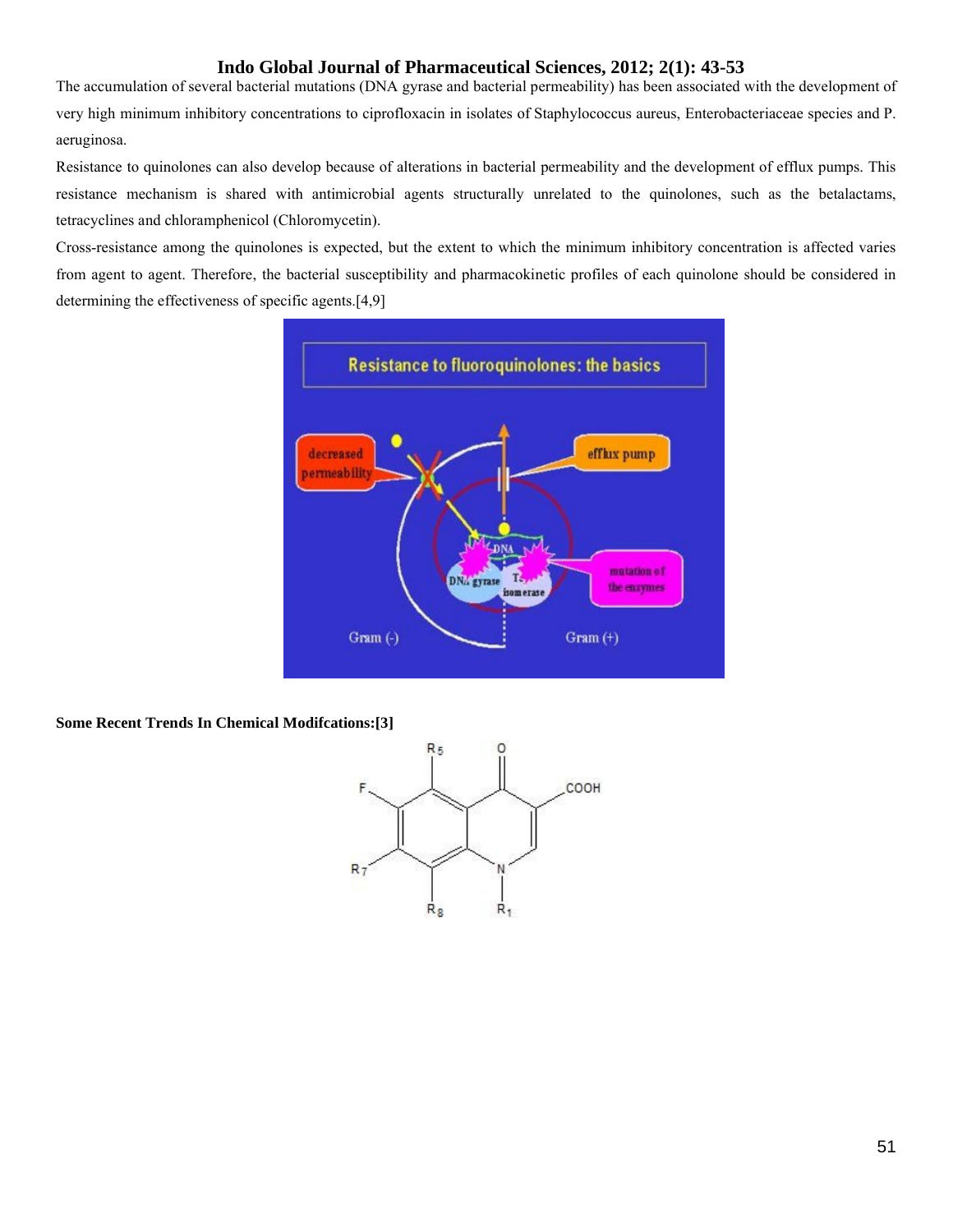The accumulation of several bacterial mutations (DNA gyrase and bacterial permeability) has been associated with the development of very high minimum inhibitory concentrations to ciprofloxacin in isolates of Staphylococcus aureus, Enterobacteriaceae species and P. aeruginosa.

Resistance to quinolones can also develop because of alterations in bacterial permeability and the development of efflux pumps. This resistance mechanism is shared with antimicrobial agents structurally unrelated to the quinolones, such as the betalactams, tetracyclines and chloramphenicol (Chloromycetin).

Cross-resistance among the quinolones is expected, but the extent to which the minimum inhibitory concentration is affected varies from agent to agent. Therefore, the bacterial susceptibility and pharmacokinetic profiles of each quinolone should be considered in determining the effectiveness of specific agents.[4,9]



**Some Recent Trends In Chemical Modifcations:[3]**

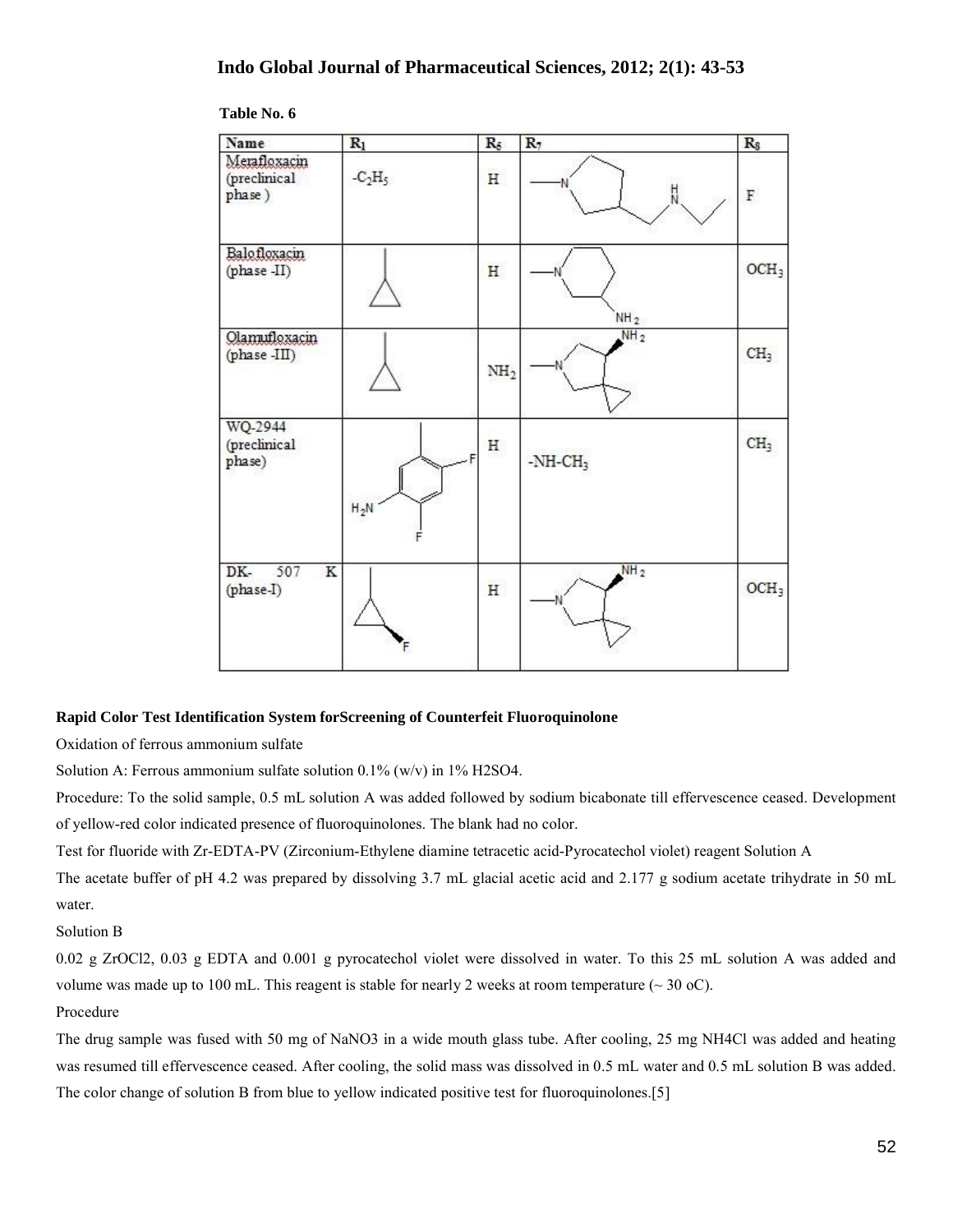| Name                                   | $\mathbb{R}_1$ | $R_5$           | $R_7$           | $\rm R_S$        |
|----------------------------------------|----------------|-----------------|-----------------|------------------|
| Merafloxacin<br>(preclinical<br>phase) | $-C2H5$        | H               | $\frac{1}{N}$   | $\mathbb F$      |
| Balofloxacin<br>(phase -II)            |                | H               | NH <sub>2</sub> | OCH <sub>3</sub> |
| Olamufloxacin<br>(phase -III)          |                | NH <sub>2</sub> | NH <sub>2</sub> | CH <sub>3</sub>  |
| WQ-2944<br>(preclinical<br>phase)      | $H_2N$         | Η               | $-NH-CH3$       | CH <sub>3</sub>  |
| $DK-$<br>507<br>K<br>(phase-I)         |                | H               | NH <sub>2</sub> | OCH <sub>3</sub> |

 **Table No. 6**

#### **Rapid Color Test Identification System forScreening of Counterfeit Fluoroquinolone**

Oxidation of ferrous ammonium sulfate

Solution A: Ferrous ammonium sulfate solution 0.1% (w/v) in 1% H2SO4.

Procedure: To the solid sample, 0.5 mL solution A was added followed by sodium bicabonate till effervescence ceased. Development of yellow-red color indicated presence of fluoroquinolones. The blank had no color.

Test for fluoride with Zr-EDTA-PV (Zirconium-Ethylene diamine tetracetic acid-Pyrocatechol violet) reagent Solution A

The acetate buffer of pH 4.2 was prepared by dissolving 3.7 mL glacial acetic acid and 2.177 g sodium acetate trihydrate in 50 mL water.

Solution B

0.02 g ZrOCl2, 0.03 g EDTA and 0.001 g pyrocatechol violet were dissolved in water. To this 25 mL solution A was added and volume was made up to 100 mL. This reagent is stable for nearly 2 weeks at room temperature  $\sim$  30 oC).

Procedure

The drug sample was fused with 50 mg of NaNO3 in a wide mouth glass tube. After cooling, 25 mg NH4Cl was added and heating was resumed till effervescence ceased. After cooling, the solid mass was dissolved in 0.5 mL water and 0.5 mL solution B was added. The color change of solution B from blue to yellow indicated positive test for fluoroquinolones.[5]